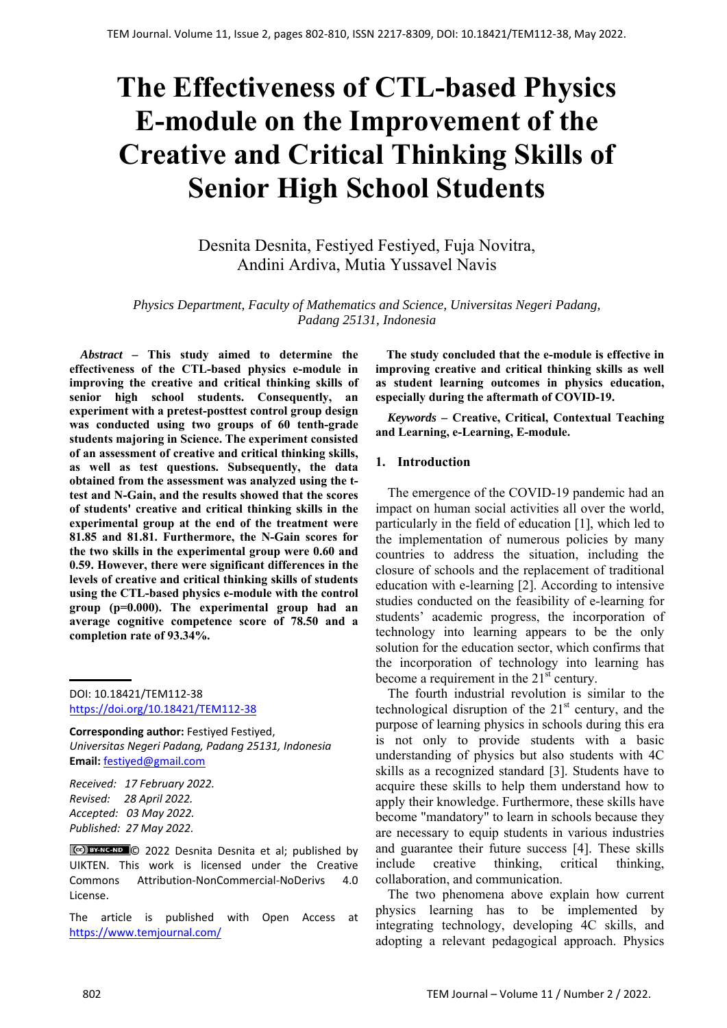# **The Effectiveness of CTL-based Physics E-module on the Improvement of the Creative and Critical Thinking Skills of Senior High School Students**

Desnita Desnita, Festiyed Festiyed, Fuja Novitra, Andini Ardiva, Mutia Yussavel Navis

*Physics Department, Faculty of Mathematics and Science, Universitas Negeri Padang, Padang 25131, Indonesia* 

*Abstract –* **This study aimed to determine the effectiveness of the CTL-based physics e-module in improving the creative and critical thinking skills of senior high school students. Consequently, an experiment with a pretest-posttest control group design was conducted using two groups of 60 tenth-grade students majoring in Science. The experiment consisted of an assessment of creative and critical thinking skills, as well as test questions. Subsequently, the data obtained from the assessment was analyzed using the ttest and N-Gain, and the results showed that the scores of students' creative and critical thinking skills in the experimental group at the end of the treatment were 81.85 and 81.81. Furthermore, the N-Gain scores for the two skills in the experimental group were 0.60 and 0.59. However, there were significant differences in the levels of creative and critical thinking skills of students using the CTL-based physics e-module with the control group (p=0.000). The experimental group had an average cognitive competence score of 78.50 and a completion rate of 93.34%.** 

DOI: 10.18421/TEM112-38 [https://doi.org/10.18421/TEM112](https://doi.org/10.18421/TEM112-38)-38

**Corresponding author:** Festiyed Festiyed, *Universitas Negeri Padang, Padang 25131, Indonesia*  **Email:** festiyed@gmail.com

*Received: 17 February 2022. Revised: 28 April 2022. Accepted: 03 May 2022. Published: 27 May 2022.* 

C<sup>ce</sup>) **BYNC-ND** © 2022 Desnita Desnita et al; published by UIKTEN. This work is licensed under the Creative Commons Attribution‐NonCommercial‐NoDerivs 4.0 License.

The article is published with Open Access at https://www.temjournal.com/

**The study concluded that the e-module is effective in improving creative and critical thinking skills as well as student learning outcomes in physics education, especially during the aftermath of COVID-19.** 

*Keywords –* **Creative, Critical, Contextual Teaching and Learning, e-Learning, E-module.** 

## **1. Introduction**

The emergence of the COVID-19 pandemic had an impact on human social activities all over the world, particularly in the field of education [1], which led to the implementation of numerous policies by many countries to address the situation, including the closure of schools and the replacement of traditional education with e-learning [2]. According to intensive studies conducted on the feasibility of e-learning for students' academic progress, the incorporation of technology into learning appears to be the only solution for the education sector, which confirms that the incorporation of technology into learning has become a requirement in the  $21<sup>st</sup>$  century.

The fourth industrial revolution is similar to the technological disruption of the  $21<sup>st</sup>$  century, and the purpose of learning physics in schools during this era is not only to provide students with a basic understanding of physics but also students with 4C skills as a recognized standard [3]. Students have to acquire these skills to help them understand how to apply their knowledge. Furthermore, these skills have become "mandatory" to learn in schools because they are necessary to equip students in various industries and guarantee their future success [4]. These skills include creative thinking, critical thinking, collaboration, and communication.

The two phenomena above explain how current physics learning has to be implemented by integrating technology, developing 4C skills, and adopting a relevant pedagogical approach. Physics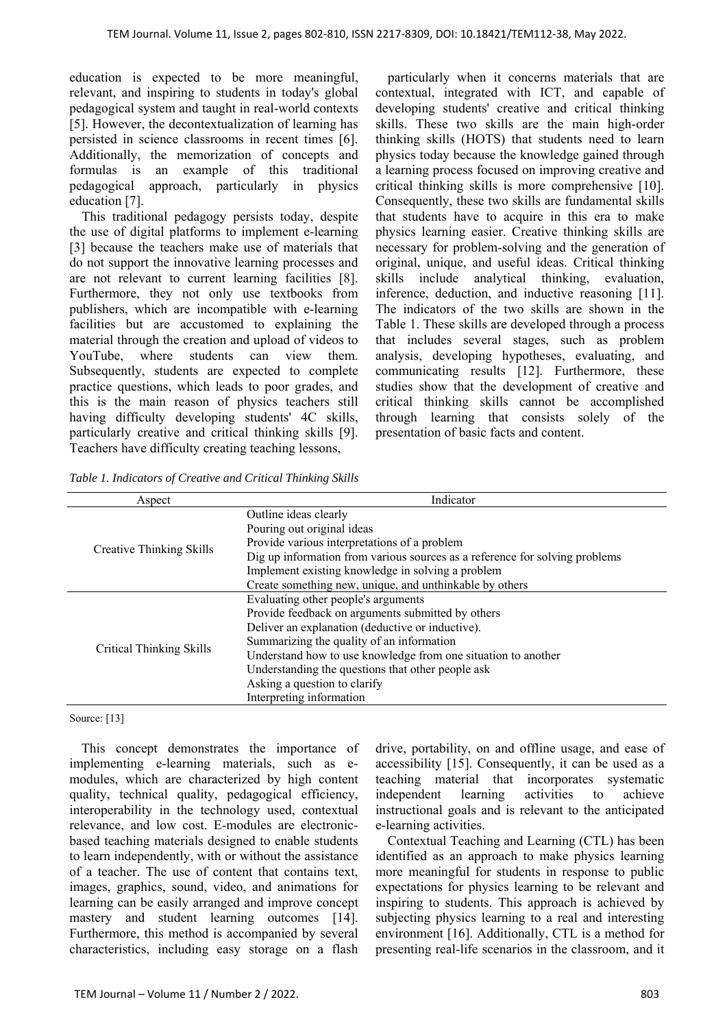education is expected to be more meaningful, relevant, and inspiring to students in today's global pedagogical system and taught in real-world contexts [5]. However, the decontextualization of learning has persisted in science classrooms in recent times [6]. Additionally, the memorization of concepts and formulas is an example of this traditional pedagogical approach, particularly in physics education [7].

This traditional pedagogy persists today, despite the use of digital platforms to implement e-learning [3] because the teachers make use of materials that do not support the innovative learning processes and are not relevant to current learning facilities [8]. Furthermore, they not only use textbooks from publishers, which are incompatible with e-learning facilities but are accustomed to explaining the material through the creation and upload of videos to YouTube, where students can view them. Subsequently, students are expected to complete practice questions, which leads to poor grades, and this is the main reason of physics teachers still having difficulty developing students' 4C skills, particularly creative and critical thinking skills [9]. Teachers have difficulty creating teaching lessons,

particularly when it concerns materials that are contextual, integrated with ICT, and capable of developing students' creative and critical thinking skills. These two skills are the main high-order thinking skills (HOTS) that students need to learn physics today because the knowledge gained through a learning process focused on improving creative and critical thinking skills is more comprehensive [10]. Consequently, these two skills are fundamental skills that students have to acquire in this era to make physics learning easier. Creative thinking skills are necessary for problem-solving and the generation of original, unique, and useful ideas. Critical thinking skills include analytical thinking, evaluation, inference, deduction, and inductive reasoning [11]. The indicators of the two skills are shown in the Table 1. These skills are developed through a process that includes several stages, such as problem analysis, developing hypotheses, evaluating, and communicating results [12]. Furthermore, these studies show that the development of creative and critical thinking skills cannot be accomplished through learning that consists solely of the presentation of basic facts and content.

*Table 1. Indicators of Creative and Critical Thinking Skills* 

| Aspect                          | Indicator                                                                   |  |  |  |  |  |
|---------------------------------|-----------------------------------------------------------------------------|--|--|--|--|--|
|                                 | Outline ideas clearly                                                       |  |  |  |  |  |
|                                 | Pouring out original ideas                                                  |  |  |  |  |  |
|                                 | Provide various interpretations of a problem                                |  |  |  |  |  |
| Creative Thinking Skills        | Dig up information from various sources as a reference for solving problems |  |  |  |  |  |
|                                 | Implement existing knowledge in solving a problem                           |  |  |  |  |  |
|                                 | Create something new, unique, and unthinkable by others                     |  |  |  |  |  |
|                                 | Evaluating other people's arguments                                         |  |  |  |  |  |
|                                 | Provide feedback on arguments submitted by others                           |  |  |  |  |  |
|                                 | Deliver an explanation (deductive or inductive).                            |  |  |  |  |  |
|                                 | Summarizing the quality of an information                                   |  |  |  |  |  |
| <b>Critical Thinking Skills</b> | Understand how to use knowledge from one situation to another               |  |  |  |  |  |
|                                 | Understanding the questions that other people ask                           |  |  |  |  |  |
|                                 | Asking a question to clarify                                                |  |  |  |  |  |
|                                 | Interpreting information                                                    |  |  |  |  |  |

#### Source: [13]

This concept demonstrates the importance of implementing e-learning materials, such as emodules, which are characterized by high content quality, technical quality, pedagogical efficiency, interoperability in the technology used, contextual relevance, and low cost. E-modules are electronicbased teaching materials designed to enable students to learn independently, with or without the assistance of a teacher. The use of content that contains text, images, graphics, sound, video, and animations for learning can be easily arranged and improve concept mastery and student learning outcomes [14]. Furthermore, this method is accompanied by several characteristics, including easy storage on a flash

drive, portability, on and offline usage, and ease of accessibility [15]. Consequently, it can be used as a teaching material that incorporates systematic independent learning activities to achieve instructional goals and is relevant to the anticipated e-learning activities.

Contextual Teaching and Learning (CTL) has been identified as an approach to make physics learning more meaningful for students in response to public expectations for physics learning to be relevant and inspiring to students. This approach is achieved by subjecting physics learning to a real and interesting environment [16]. Additionally, CTL is a method for presenting real-life scenarios in the classroom, and it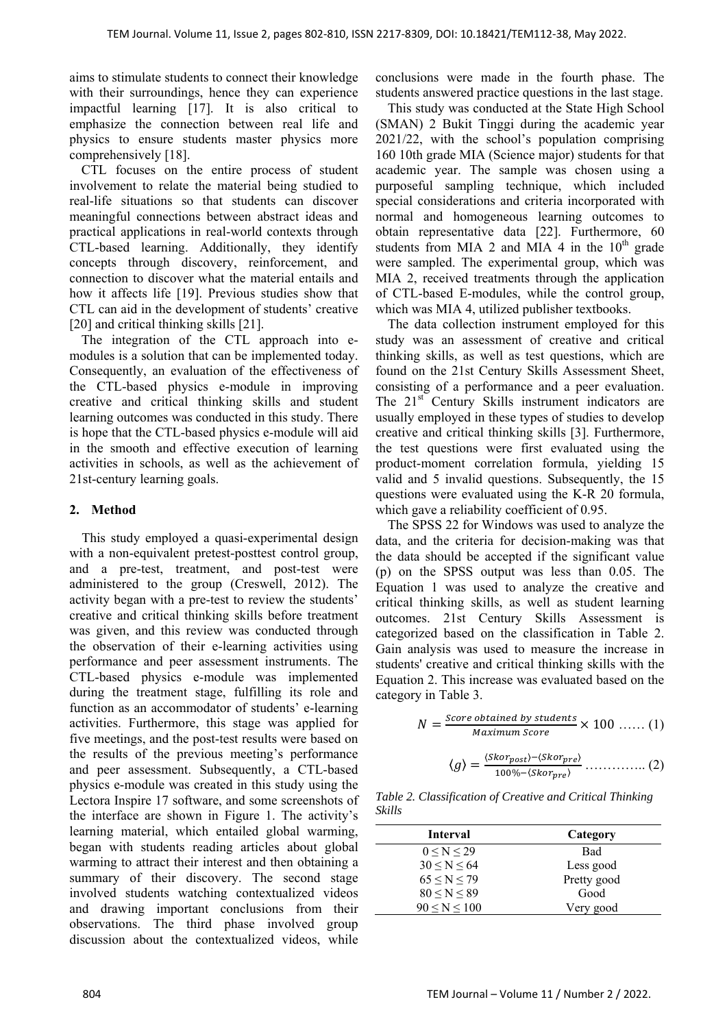aims to stimulate students to connect their knowledge with their surroundings, hence they can experience impactful learning [17]. It is also critical to emphasize the connection between real life and physics to ensure students master physics more comprehensively [18].

CTL focuses on the entire process of student involvement to relate the material being studied to real-life situations so that students can discover meaningful connections between abstract ideas and practical applications in real-world contexts through CTL-based learning. Additionally, they identify concepts through discovery, reinforcement, and connection to discover what the material entails and how it affects life [19]. Previous studies show that CTL can aid in the development of students' creative [20] and critical thinking skills [21].

The integration of the CTL approach into emodules is a solution that can be implemented today. Consequently, an evaluation of the effectiveness of the CTL-based physics e-module in improving creative and critical thinking skills and student learning outcomes was conducted in this study. There is hope that the CTL-based physics e-module will aid in the smooth and effective execution of learning activities in schools, as well as the achievement of 21st-century learning goals.

## **2. Method**

This study employed a quasi-experimental design with a non-equivalent pretest-posttest control group, and a pre-test, treatment, and post-test were administered to the group (Creswell, 2012). The activity began with a pre-test to review the students' creative and critical thinking skills before treatment was given, and this review was conducted through the observation of their e-learning activities using performance and peer assessment instruments. The CTL-based physics e-module was implemented during the treatment stage, fulfilling its role and function as an accommodator of students' e-learning activities. Furthermore, this stage was applied for five meetings, and the post-test results were based on the results of the previous meeting's performance and peer assessment. Subsequently, a CTL-based physics e-module was created in this study using the Lectora Inspire 17 software, and some screenshots of the interface are shown in Figure 1. The activity's learning material, which entailed global warming, began with students reading articles about global warming to attract their interest and then obtaining a summary of their discovery. The second stage involved students watching contextualized videos and drawing important conclusions from their observations. The third phase involved group discussion about the contextualized videos, while

conclusions were made in the fourth phase. The students answered practice questions in the last stage.

This study was conducted at the State High School (SMAN) 2 Bukit Tinggi during the academic year 2021/22, with the school's population comprising 160 10th grade MIA (Science major) students for that academic year. The sample was chosen using a purposeful sampling technique, which included special considerations and criteria incorporated with normal and homogeneous learning outcomes to obtain representative data [22]. Furthermore, 60 students from MIA 2 and MIA 4 in the  $10<sup>th</sup>$  grade were sampled. The experimental group, which was MIA 2, received treatments through the application of CTL-based E-modules, while the control group, which was MIA 4, utilized publisher textbooks.

The data collection instrument employed for this study was an assessment of creative and critical thinking skills, as well as test questions, which are found on the 21st Century Skills Assessment Sheet, consisting of a performance and a peer evaluation. The 21<sup>st</sup> Century Skills instrument indicators are usually employed in these types of studies to develop creative and critical thinking skills [3]. Furthermore, the test questions were first evaluated using the product-moment correlation formula, yielding 15 valid and 5 invalid questions. Subsequently, the 15 questions were evaluated using the K-R 20 formula, which gave a reliability coefficient of 0.95.

The SPSS 22 for Windows was used to analyze the data, and the criteria for decision-making was that the data should be accepted if the significant value (p) on the SPSS output was less than 0.05. The Equation 1 was used to analyze the creative and critical thinking skills, as well as student learning outcomes. 21st Century Skills Assessment is categorized based on the classification in Table 2. Gain analysis was used to measure the increase in students' creative and critical thinking skills with the Equation 2. This increase was evaluated based on the category in Table 3.

$$
N = \frac{Score\ obtained\ by\ students}{Maximum\ Score} \times 100\ \dots\ (1)
$$

$$
\langle g \rangle = \frac{\langle Skor_{post} \rangle - \langle Skor_{pre} \rangle}{100\% - \langle Skor_{pre} \rangle} \dots \dots \dots \dots \dots \tag{2}
$$

*Table 2. Classification of Creative and Critical Thinking Skills* 

| Interval          | Category    |
|-------------------|-------------|
| 0 < N < 29        | Bad         |
| 30 < N < 64       | Less good   |
| $65 \le N \le 79$ | Pretty good |
| 80 < N < 89       | Good        |
| 90 < N < 100      | Very good   |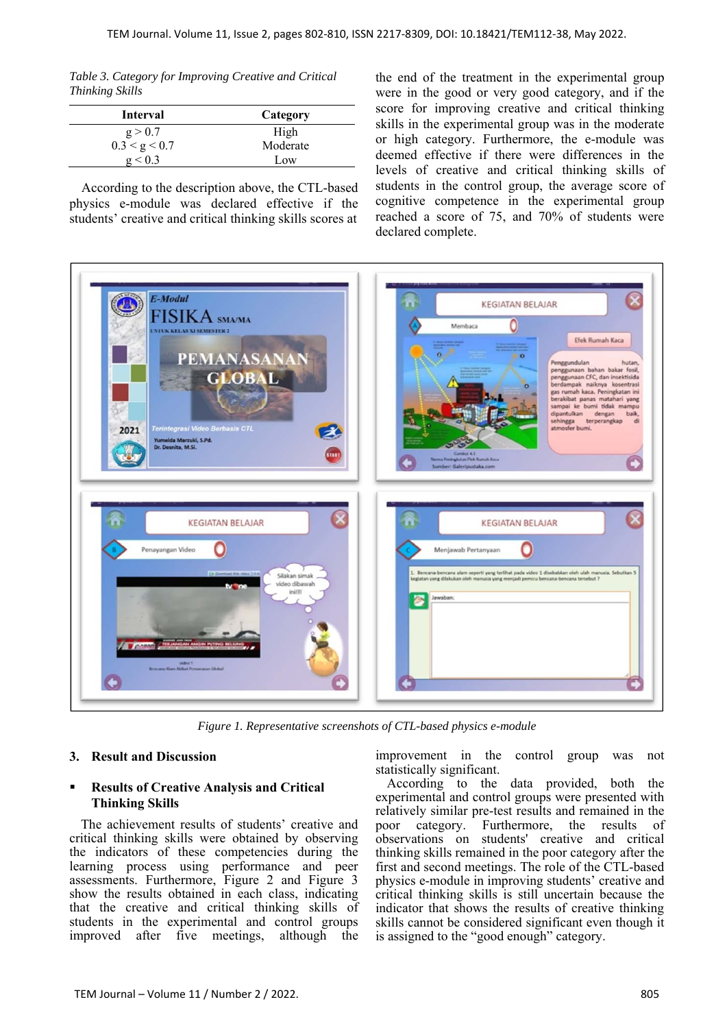*Table 3. Category for Improving Creative and Critical Thinking Skills* 

| Interval      | Category |
|---------------|----------|
| g > 0.7       | High     |
| 0.3 < g < 0.7 | Moderate |
| g < 0.3       | Low      |

According to the description above, the CTL-based physics e-module was declared effective if the students' creative and critical thinking skills scores at the end of the treatment in the experimental group were in the good or very good category, and if the score for improving creative and critical thinking skills in the experimental group was in the moderate or high category. Furthermore, the e-module was deemed effective if there were differences in the levels of creative and critical thinking skills of students in the control group, the average score of cognitive competence in the experimental group reached a score of 75, and 70% of students were declared complete.



*Figure 1. Representative screenshots of CTL-based physics e-module*

## **3. Result and Discussion**

#### **Results of Creative Analysis and Critical Thinking Skills**

The achievement results of students' creative and critical thinking skills were obtained by observing the indicators of these competencies during the learning process using performance and peer assessments. Furthermore, Figure 2 and Figure 3 show the results obtained in each class, indicating that the creative and critical thinking skills of students in the experimental and control groups improved after five meetings, although the

improvement in the control group was not statistically significant.

According to the data provided, both the experimental and control groups were presented with relatively similar pre-test results and remained in the poor category. Furthermore, the results of observations on students' creative and critical thinking skills remained in the poor category after the first and second meetings. The role of the CTL-based physics e-module in improving students' creative and critical thinking skills is still uncertain because the indicator that shows the results of creative thinking skills cannot be considered significant even though it is assigned to the "good enough" category.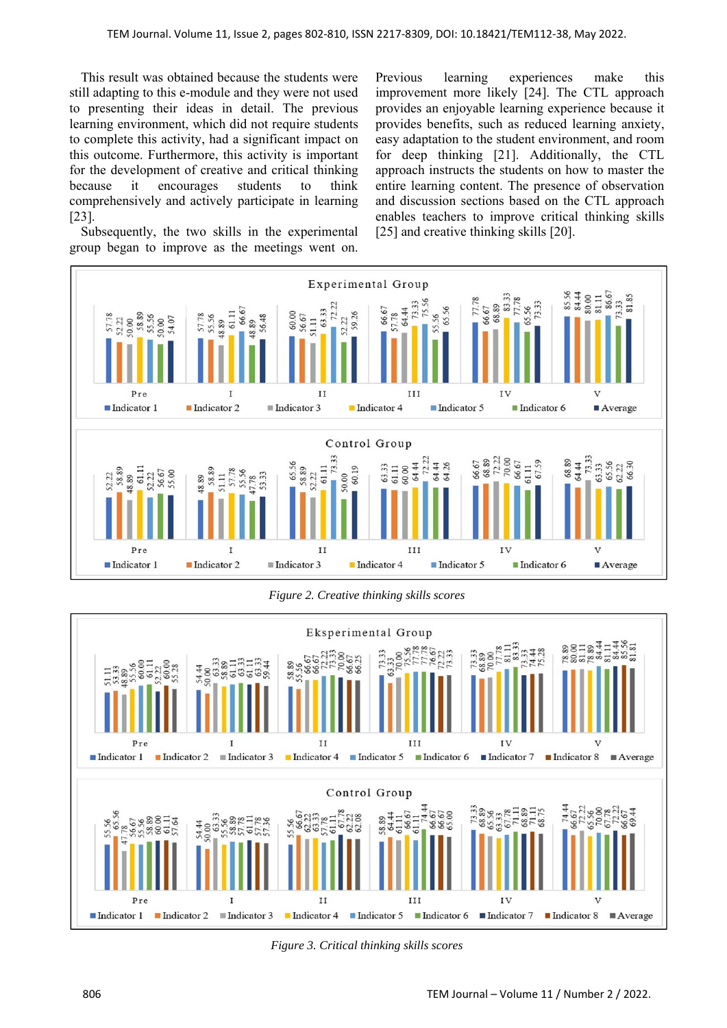This result was obtained because the students were still adapting to this e-module and they were not used to presenting their ideas in detail. The previous learning environment, which did not require students to complete this activity, had a significant impact on this outcome. Furthermore, this activity is important for the development of creative and critical thinking because it encourages students to think comprehensively and actively participate in learning [23].

Subsequently, the two skills in the experimental group began to improve as the meetings went on. Previous learning experiences make this improvement more likely [24]. The CTL approach provides an enjoyable learning experience because it provides benefits, such as reduced learning anxiety, easy adaptation to the student environment, and room for deep thinking [21]. Additionally, the CTL approach instructs the students on how to master the entire learning content. The presence of observation and discussion sections based on the CTL approach enables teachers to improve critical thinking skills [25] and creative thinking skills [20].



*Figure 2. Creative thinking skills scores* 



*Figure 3. Critical thinking skills scores*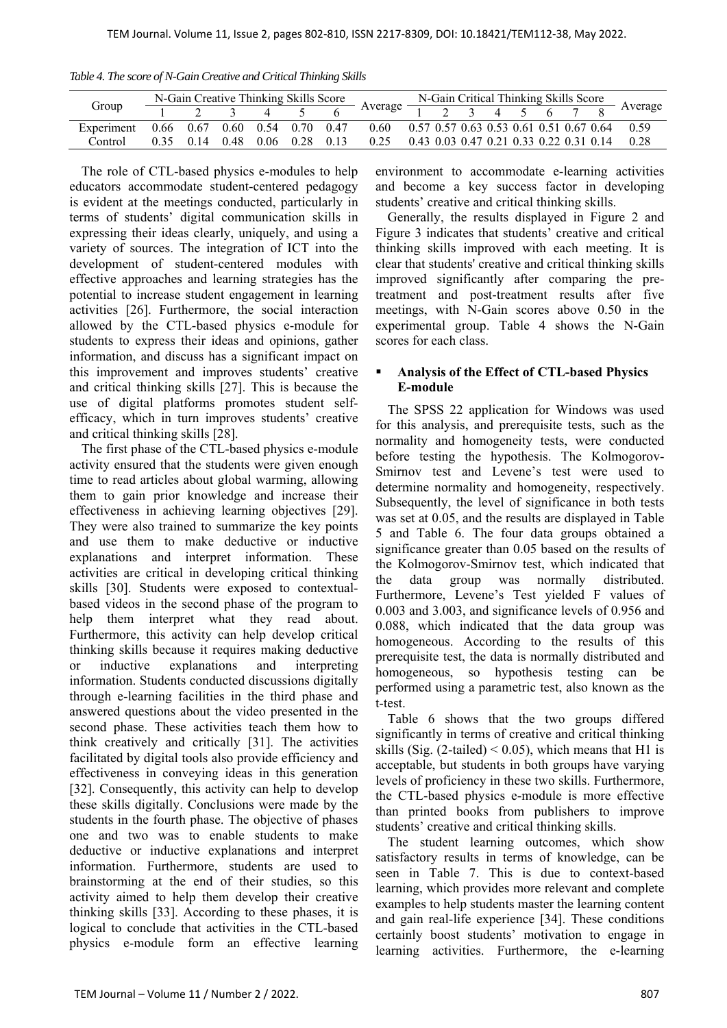| N-Gain Creative Thinking Skills Score<br>N-Gain Critical Thinking Skills Score |  |                                 |  |  |  |  |                                                                                                                 |  |  |  |  |  |                                                                                                                                 |
|--------------------------------------------------------------------------------|--|---------------------------------|--|--|--|--|-----------------------------------------------------------------------------------------------------------------|--|--|--|--|--|---------------------------------------------------------------------------------------------------------------------------------|
| Group                                                                          |  |                                 |  |  |  |  |                                                                                                                 |  |  |  |  |  | Average $\frac{1}{1}$ $\frac{2}{1}$ $\frac{3}{1}$ $\frac{4}{1}$ $\frac{5}{1}$ $\frac{6}{1}$ $\frac{7}{1}$ $\frac{8}{1}$ Average |
| Experiment                                                                     |  |                                 |  |  |  |  | $0.66$ $0.67$ $0.60$ $0.54$ $0.70$ $0.47$ $0.60$ $0.57$ $0.57$ $0.63$ $0.53$ $0.61$ $0.51$ $0.67$ $0.64$ $0.59$ |  |  |  |  |  |                                                                                                                                 |
| Control                                                                        |  | $0.35$ 0.14 0.48 0.06 0.28 0.13 |  |  |  |  | 0.25                                                                                                            |  |  |  |  |  | $0.43$ 0.03 0.47 0.21 0.33 0.22 0.31 0.14 0.28                                                                                  |

*Table 4. The score of N-Gain Creative and Critical Thinking Skills* 

The role of CTL-based physics e-modules to help educators accommodate student-centered pedagogy is evident at the meetings conducted, particularly in terms of students' digital communication skills in expressing their ideas clearly, uniquely, and using a variety of sources. The integration of ICT into the development of student-centered modules with effective approaches and learning strategies has the potential to increase student engagement in learning activities [26]. Furthermore, the social interaction allowed by the CTL-based physics e-module for students to express their ideas and opinions, gather information, and discuss has a significant impact on this improvement and improves students' creative and critical thinking skills [27]. This is because the use of digital platforms promotes student selfefficacy, which in turn improves students' creative and critical thinking skills [28].

The first phase of the CTL-based physics e-module activity ensured that the students were given enough time to read articles about global warming, allowing them to gain prior knowledge and increase their effectiveness in achieving learning objectives [29]. They were also trained to summarize the key points and use them to make deductive or inductive explanations and interpret information. These activities are critical in developing critical thinking skills [30]. Students were exposed to contextualbased videos in the second phase of the program to help them interpret what they read about. Furthermore, this activity can help develop critical thinking skills because it requires making deductive or inductive explanations and interpreting information. Students conducted discussions digitally through e-learning facilities in the third phase and answered questions about the video presented in the second phase. These activities teach them how to think creatively and critically [31]. The activities facilitated by digital tools also provide efficiency and effectiveness in conveying ideas in this generation [32]. Consequently, this activity can help to develop these skills digitally. Conclusions were made by the students in the fourth phase. The objective of phases one and two was to enable students to make deductive or inductive explanations and interpret information. Furthermore, students are used to brainstorming at the end of their studies, so this activity aimed to help them develop their creative thinking skills [33]. According to these phases, it is logical to conclude that activities in the CTL-based physics e-module form an effective learning environment to accommodate e-learning activities and become a key success factor in developing students' creative and critical thinking skills.

Generally, the results displayed in Figure 2 and Figure 3 indicates that students' creative and critical thinking skills improved with each meeting. It is clear that students' creative and critical thinking skills improved significantly after comparing the pretreatment and post-treatment results after five meetings, with N-Gain scores above 0.50 in the experimental group. Table 4 shows the N-Gain scores for each class.

## **Analysis of the Effect of CTL-based Physics E-module**

The SPSS 22 application for Windows was used for this analysis, and prerequisite tests, such as the normality and homogeneity tests, were conducted before testing the hypothesis. The Kolmogorov-Smirnov test and Levene's test were used to determine normality and homogeneity, respectively. Subsequently, the level of significance in both tests was set at 0.05, and the results are displayed in Table 5 and Table 6. The four data groups obtained a significance greater than 0.05 based on the results of the Kolmogorov-Smirnov test, which indicated that the data group was normally distributed. Furthermore, Levene's Test yielded F values of 0.003 and 3.003, and significance levels of 0.956 and 0.088, which indicated that the data group was homogeneous. According to the results of this prerequisite test, the data is normally distributed and homogeneous, so hypothesis testing can be performed using a parametric test, also known as the t-test.

Table 6 shows that the two groups differed significantly in terms of creative and critical thinking skills (Sig.  $(2$ -tailed) < 0.05), which means that H1 is acceptable, but students in both groups have varying levels of proficiency in these two skills. Furthermore, the CTL-based physics e-module is more effective than printed books from publishers to improve students' creative and critical thinking skills.

The student learning outcomes, which show satisfactory results in terms of knowledge, can be seen in Table 7. This is due to context-based learning, which provides more relevant and complete examples to help students master the learning content and gain real-life experience [34]. These conditions certainly boost students' motivation to engage in learning activities. Furthermore, the e-learning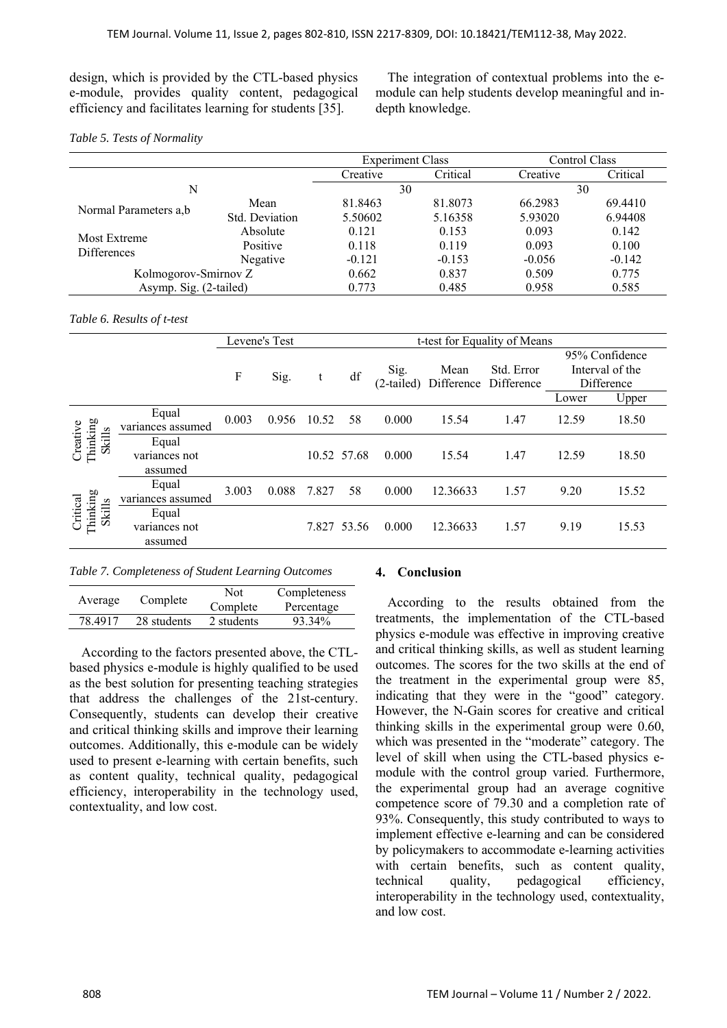design, which is provided by the CTL-based physics e-module, provides quality content, pedagogical efficiency and facilitates learning for students [35].

The integration of contextual problems into the emodule can help students develop meaningful and indepth knowledge.

#### *Table 5. Tests of Normality*

|                             |                | <b>Experiment Class</b> |          | Control Class |          |  |  |
|-----------------------------|----------------|-------------------------|----------|---------------|----------|--|--|
|                             |                | Creative                | Critical | Creative      | Critical |  |  |
| N                           |                | 30                      |          | 30            |          |  |  |
|                             | Mean           | 81.8463                 | 81.8073  | 66.2983       | 69.4410  |  |  |
| Normal Parameters a,b       | Std. Deviation | 5.50602                 | 5.16358  | 5.93020       | 6.94408  |  |  |
| Most Extreme<br>Differences | Absolute       | 0.121                   | 0.153    | 0.093         | 0.142    |  |  |
|                             | Positive       | 0.118                   | 0.119    | 0.093         | 0.100    |  |  |
|                             | Negative       | $-0.121$                | $-0.153$ | $-0.056$      | $-0.142$ |  |  |
| Kolmogorov-Smirnov Z        |                | 0.662                   | 0.837    | 0.509         | 0.775    |  |  |
| Asymp. Sig. (2-tailed)      |                | 0.773                   | 0.485    | 0.958         | 0.585    |  |  |

#### *Table 6. Results of t-test*

|                                |                                   | Levene's Test |       |       |             |                      |                               | t-test for Equality of Means |       |                                                 |
|--------------------------------|-----------------------------------|---------------|-------|-------|-------------|----------------------|-------------------------------|------------------------------|-------|-------------------------------------------------|
|                                |                                   | F             | Sig.  | t     | df          | Sig.<br>$(2-tailed)$ | Mean<br>Difference Difference | Std. Error                   |       | 95% Confidence<br>Interval of the<br>Difference |
|                                |                                   |               |       |       |             |                      |                               |                              | Lower | Upper                                           |
|                                | Equal<br>variances assumed        | 0.003         | 0.956 | 10.52 | 58          | 0.000                | 15.54                         | 1.47                         | 12.59 | 18.50                                           |
| Creative<br>Thinking<br>Skills | Equal<br>variances not<br>assumed |               |       |       | 10.52 57.68 | 0.000                | 15.54                         | 1.47                         | 12.59 | 18.50                                           |
|                                | Equal<br>variances assumed        | 3.003         | 0.088 | 7.827 | 58          | 0.000                | 12.36633                      | 1.57                         | 9.20  | 15.52                                           |
| Critical<br>Thinking<br>Skills | Equal<br>variances not<br>assumed |               |       |       | 7.827 53.56 | 0.000                | 12.36633                      | 1.57                         | 9.19  | 15.53                                           |

*Table 7. Completeness of Student Learning Outcomes* 

| Average | Complete    | Not<br>Complete | Completeness<br>Percentage |
|---------|-------------|-----------------|----------------------------|
| 78 4917 | 28 students | 2 students      | 93.34%                     |

According to the factors presented above, the CTLbased physics e-module is highly qualified to be used as the best solution for presenting teaching strategies that address the challenges of the 21st-century. Consequently, students can develop their creative and critical thinking skills and improve their learning outcomes. Additionally, this e-module can be widely used to present e-learning with certain benefits, such as content quality, technical quality, pedagogical efficiency, interoperability in the technology used, contextuality, and low cost.

## **4. Conclusion**

According to the results obtained from the treatments, the implementation of the CTL-based physics e-module was effective in improving creative and critical thinking skills, as well as student learning outcomes. The scores for the two skills at the end of the treatment in the experimental group were 85, indicating that they were in the "good" category. However, the N-Gain scores for creative and critical thinking skills in the experimental group were 0.60, which was presented in the "moderate" category. The level of skill when using the CTL-based physics emodule with the control group varied. Furthermore, the experimental group had an average cognitive competence score of 79.30 and a completion rate of 93%. Consequently, this study contributed to ways to implement effective e-learning and can be considered by policymakers to accommodate e-learning activities with certain benefits, such as content quality, technical quality, pedagogical efficiency, interoperability in the technology used, contextuality, and low cost.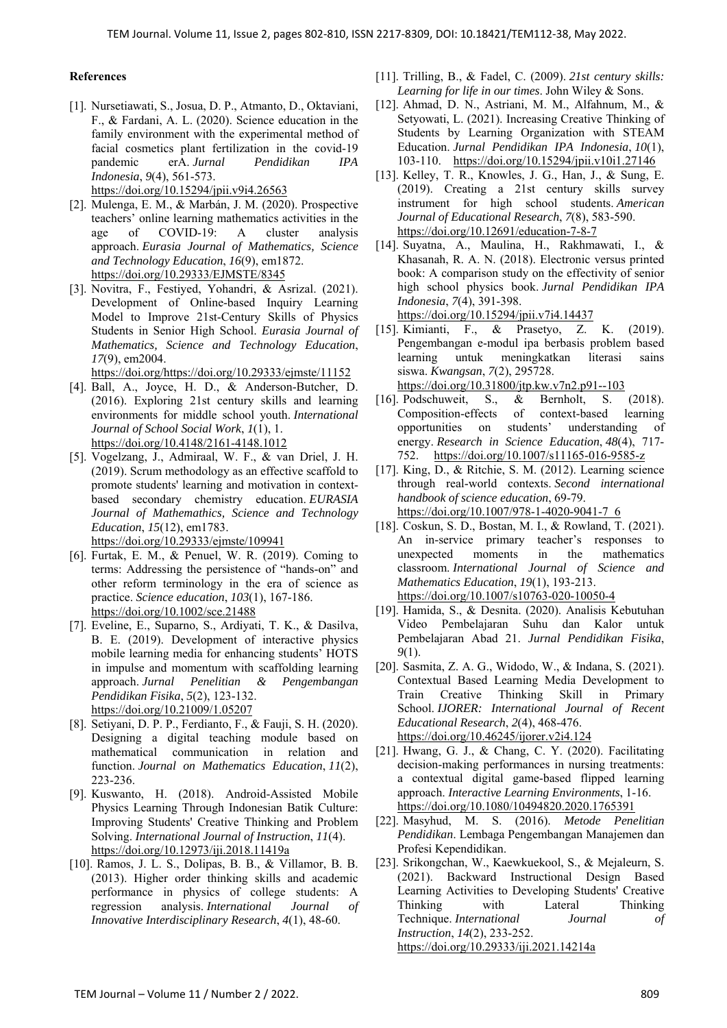#### **References**

- [1]. Nursetiawati, S., Josua, D. P., Atmanto, D., Oktaviani, F., & Fardani, A. L. (2020). Science education in the family environment with the experimental method of facial cosmetics plant fertilization in the covid-19 pandemic erA. *Jurnal Pendidikan IPA Indonesia*, *9*(4), 561-573. https://doi.org/10.15294/jpii.v9i4.26563
- [2]. Mulenga, E. M., & Marbán, J. M. (2020). Prospective teachers' online learning mathematics activities in the age of COVID-19: A cluster analysis approach. *Eurasia Journal of Mathematics, Science and Technology Education*, *16*(9), em1872. https://doi.org/10.29333/EJMSTE/8345
- [3]. Novitra, F., Festiyed, Yohandri, & Asrizal. (2021). Development of Online-based Inquiry Learning Model to Improve 21st-Century Skills of Physics Students in Senior High School. *Eurasia Journal of Mathematics, Science and Technology Education*, *17*(9), em2004.

https://doi.org/https://doi.org/10.29333/ejmste/11152

- [4]. Ball, A., Joyce, H. D., & Anderson-Butcher, D. (2016). Exploring 21st century skills and learning environments for middle school youth. *International Journal of School Social Work*, *1*(1), 1. https://doi.org/10.4148/2161-4148.1012
- [5]. Vogelzang, J., Admiraal, W. F., & van Driel, J. H. (2019). Scrum methodology as an effective scaffold to promote students' learning and motivation in contextbased secondary chemistry education. *EURASIA Journal of Mathemathics, Science and Technology Education*, *15*(12), em1783. https://doi.org/10.29333/ejmste/109941
- [6]. Furtak, E. M., & Penuel, W. R. (2019). Coming to terms: Addressing the persistence of "hands‐on" and other reform terminology in the era of science as practice. *Science education*, *103*(1), 167-186. https://doi.org/10.1002/sce.21488
- [7]. Eveline, E., Suparno, S., Ardiyati, T. K., & Dasilva, B. E. (2019). Development of interactive physics mobile learning media for enhancing students' HOTS in impulse and momentum with scaffolding learning approach. *Jurnal Penelitian & Pengembangan Pendidikan Fisika*, *5*(2), 123-132. https://doi.org/10.21009/1.05207
- [8]. Setiyani, D. P. P., Ferdianto, F., & Fauji, S. H. (2020). Designing a digital teaching module based on mathematical communication in relation and function. *Journal on Mathematics Education*, *11*(2), 223-236.
- [9]. Kuswanto, H. (2018). Android-Assisted Mobile Physics Learning Through Indonesian Batik Culture: Improving Students' Creative Thinking and Problem Solving. *International Journal of Instruction*, *11*(4). https://doi.org/10.12973/iji.2018.11419a
- [10]. Ramos, J. L. S., Dolipas, B. B., & Villamor, B. B. (2013). Higher order thinking skills and academic performance in physics of college students: A regression analysis. *International Journal of Innovative Interdisciplinary Research*, *4*(1), 48-60.
- [11]. Trilling, B., & Fadel, C. (2009). *21st century skills: Learning for life in our times*. John Wiley & Sons.
- [12]. Ahmad, D. N., Astriani, M. M., Alfahnum, M., & Setyowati, L. (2021). Increasing Creative Thinking of Students by Learning Organization with STEAM Education. *Jurnal Pendidikan IPA Indonesia*, *10*(1), 103-110. https://doi.org/10.15294/jpii.v10i1.27146
- [13]. Kelley, T. R., Knowles, J. G., Han, J., & Sung, E. (2019). Creating a 21st century skills survey instrument for high school students. *American Journal of Educational Research*, *7*(8), 583-590. https://doi.org/10.12691/education-7-8-7
- [14]. Suyatna, A., Maulina, H., Rakhmawati, I., & Khasanah, R. A. N. (2018). Electronic versus printed book: A comparison study on the effectivity of senior high school physics book. *Jurnal Pendidikan IPA Indonesia*, *7*(4), 391-398.

https://doi.org/10.15294/jpii.v7i4.14437

[15]. Kimianti, F., & Prasetyo, Z. K. (2019). Pengembangan e-modul ipa berbasis problem based learning untuk meningkatkan literasi sains siswa. *Kwangsan*, *7*(2), 295728.

https://doi.org/10.31800/jtp.kw.v7n2.p91--103

- [16]. Podschuweit, S., & Bernholt, S. (2018). Composition-effects of context-based learning opportunities on students' understanding of energy. *Research in Science Education*, *48*(4), 717- 752. https://doi.org/10.1007/s11165-016-9585-z
- [17]. King, D., & Ritchie, S. M. (2012). Learning science through real-world contexts. *Second international handbook of science education*, 69-79. https://doi.org/10.1007/978-1-4020-9041-7\_6
- [18]. Coskun, S. D., Bostan, M. I., & Rowland, T. (2021). An in-service primary teacher's responses to unexpected moments in the mathematics classroom. *International Journal of Science and Mathematics Education*, *19*(1), 193-213. https://doi.org/10.1007/s10763-020-10050-4
- [19]. Hamida, S., & Desnita. (2020). Analisis Kebutuhan Video Pembelajaran Suhu dan Kalor untuk Pembelajaran Abad 21. *Jurnal Pendidikan Fisika*, *9*(1).
- [20]. Sasmita, Z. A. G., Widodo, W., & Indana, S. (2021). Contextual Based Learning Media Development to Train Creative Thinking Skill in Primary School. *IJORER: International Journal of Recent Educational Research*, *2*(4), 468-476. https://doi.org/10.46245/ijorer.v2i4.124
- [21]. Hwang, G. J., & Chang, C. Y. (2020). Facilitating decision-making performances in nursing treatments: a contextual digital game-based flipped learning approach. *Interactive Learning Environments*, 1-16. https://doi.org/10.1080/10494820.2020.1765391
- [22]. Masyhud, M. S. (2016). *Metode Penelitian Pendidikan*. Lembaga Pengembangan Manajemen dan Profesi Kependidikan.
- [23]. Srikongchan, W., Kaewkuekool, S., & Mejaleurn, S. (2021). Backward Instructional Design Based Learning Activities to Developing Students' Creative Thinking with Lateral Thinking Technique. *International Journal of Instruction*, *14*(2), 233-252. https://doi.org/10.29333/iji.2021.14214a